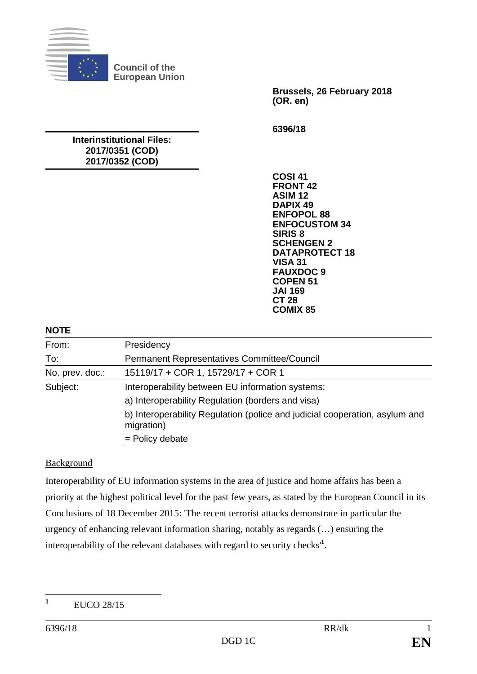

**Council of the European Union** 

**Brussels, 26 February 2018 (OR. en)** 

**6396/18** 

## **Interinstitutional Files: 2017/0351 (COD) 2017/0352 (COD)**

**COSI 41 FRONT 42 ASIM 12 DAPIX 49 ENFOPOL 88 ENFOCUSTOM 34 SIRIS 8 SCHENGEN 2 DATAPROTECT 18 VISA 31 FAUXDOC 9 COPEN 51 JAI 169 CT 28 COMIX 85**

## **NOTE**

| From:           | Presidency                                                                                |
|-----------------|-------------------------------------------------------------------------------------------|
| To:             | Permanent Representatives Committee/Council                                               |
| No. prev. doc.: | 15119/17 + COR 1, 15729/17 + COR 1                                                        |
| Subject:        | Interoperability between EU information systems:                                          |
|                 | a) Interoperability Regulation (borders and visa)                                         |
|                 | b) Interoperability Regulation (police and judicial cooperation, asylum and<br>migration) |
|                 | $=$ Policy debate                                                                         |

## **Background**

Interoperability of EU information systems in the area of justice and home affairs has been a priority at the highest political level for the past few years, as stated by the European Council in its Conclusions of 18 December 2015: 'The recent terrorist attacks demonstrate in particular the urgency of enhancing relevant information sharing, notably as regards (…) ensuring the interoperability of the relevant databases with regard to security checks'**<sup>1</sup>** .

 **1** EUCO 28/15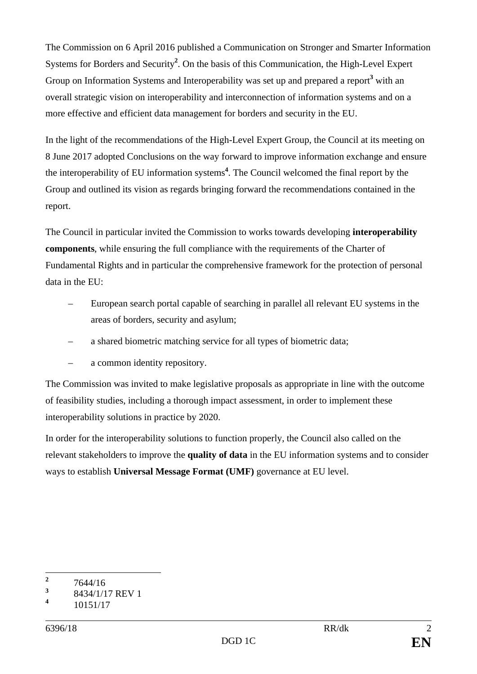The Commission on 6 April 2016 published a Communication on Stronger and Smarter Information Systems for Borders and Security<sup>2</sup>. On the basis of this Communication, the High-Level Expert Group on Information Systems and Interoperability was set up and prepared a report<sup>3</sup> with an overall strategic vision on interoperability and interconnection of information systems and on a more effective and efficient data management for borders and security in the EU.

In the light of the recommendations of the High-Level Expert Group, the Council at its meeting on 8 June 2017 adopted Conclusions on the way forward to improve information exchange and ensure the interoperability of EU information systems**<sup>4</sup>** . The Council welcomed the final report by the Group and outlined its vision as regards bringing forward the recommendations contained in the report.

The Council in particular invited the Commission to works towards developing **interoperability components**, while ensuring the full compliance with the requirements of the Charter of Fundamental Rights and in particular the comprehensive framework for the protection of personal data in the EU:

- European search portal capable of searching in parallel all relevant EU systems in the areas of borders, security and asylum;
- a shared biometric matching service for all types of biometric data;
- a common identity repository.

The Commission was invited to make legislative proposals as appropriate in line with the outcome of feasibility studies, including a thorough impact assessment, in order to implement these interoperability solutions in practice by 2020.

In order for the interoperability solutions to function properly, the Council also called on the relevant stakeholders to improve the **quality of data** in the EU information systems and to consider ways to establish **Universal Message Format (UMF)** governance at EU level.

 **2** 7644/16

**<sup>3</sup>** 8434/1/17 REV 1

**<sup>4</sup>** 10151/17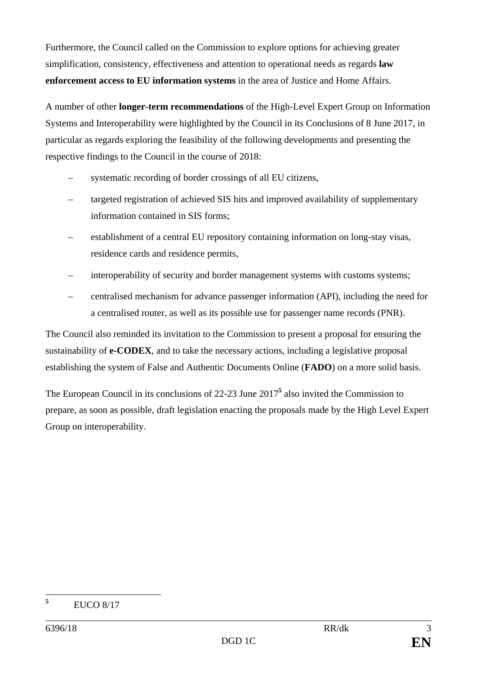Furthermore, the Council called on the Commission to explore options for achieving greater simplification, consistency, effectiveness and attention to operational needs as regards **law enforcement access to EU information systems** in the area of Justice and Home Affairs.

A number of other **longer-term recommendations** of the High-Level Expert Group on Information Systems and Interoperability were highlighted by the Council in its Conclusions of 8 June 2017, in particular as regards exploring the feasibility of the following developments and presenting the respective findings to the Council in the course of 2018:

- systematic recording of border crossings of all EU citizens,
- targeted registration of achieved SIS hits and improved availability of supplementary information contained in SIS forms;
- establishment of a central EU repository containing information on long-stay visas, residence cards and residence permits,
- interoperability of security and border management systems with customs systems;
- centralised mechanism for advance passenger information (API), including the need for a centralised router, as well as its possible use for passenger name records (PNR).

The Council also reminded its invitation to the Commission to present a proposal for ensuring the sustainability of **e-CODEX**, and to take the necessary actions, including a legislative proposal establishing the system of False and Authentic Documents Online (**FADO**) on a more solid basis.

The European Council in its conclusions of 22-23 June 2017**<sup>5</sup>** also invited the Commission to prepare, as soon as possible, draft legislation enacting the proposals made by the High Level Expert Group on interoperability.

 **5** EUCO 8/17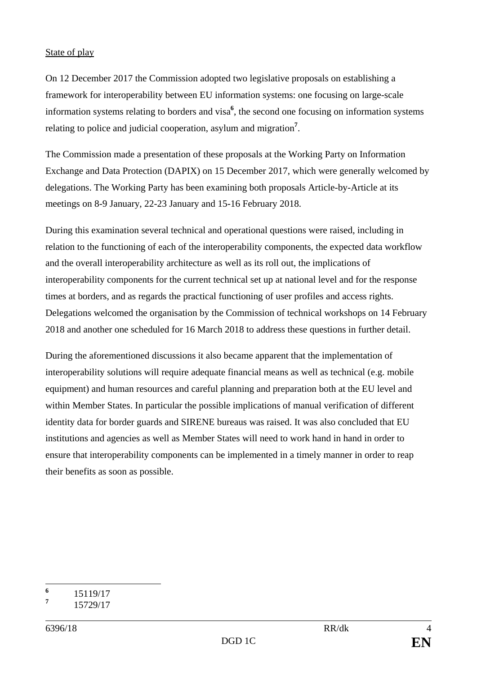## State of play

On 12 December 2017 the Commission adopted two legislative proposals on establishing a framework for interoperability between EU information systems: one focusing on large-scale information systems relating to borders and visa**<sup>6</sup>** , the second one focusing on information systems relating to police and judicial cooperation, asylum and migration**<sup>7</sup>** .

The Commission made a presentation of these proposals at the Working Party on Information Exchange and Data Protection (DAPIX) on 15 December 2017, which were generally welcomed by delegations. The Working Party has been examining both proposals Article-by-Article at its meetings on 8-9 January, 22-23 January and 15-16 February 2018.

During this examination several technical and operational questions were raised, including in relation to the functioning of each of the interoperability components, the expected data workflow and the overall interoperability architecture as well as its roll out, the implications of interoperability components for the current technical set up at national level and for the response times at borders, and as regards the practical functioning of user profiles and access rights. Delegations welcomed the organisation by the Commission of technical workshops on 14 February 2018 and another one scheduled for 16 March 2018 to address these questions in further detail.

During the aforementioned discussions it also became apparent that the implementation of interoperability solutions will require adequate financial means as well as technical (e.g. mobile equipment) and human resources and careful planning and preparation both at the EU level and within Member States. In particular the possible implications of manual verification of different identity data for border guards and SIRENE bureaus was raised. It was also concluded that EU institutions and agencies as well as Member States will need to work hand in hand in order to ensure that interoperability components can be implemented in a timely manner in order to reap their benefits as soon as possible.

 **6** 15119/17

**<sup>7</sup>** 15729/17